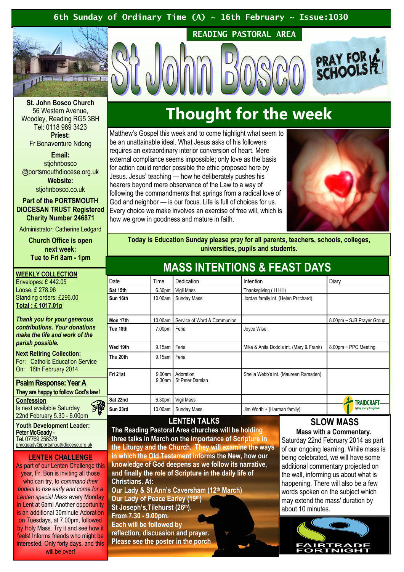### 6th Sunday of Ordinary Time (A)  $\sim$  16th February  $\sim$  Issue:1030



St. John Bosco Church 56 Western Avenue, Woodley, Reading RG5 3BH Tel: 0118 969 3423 Priest:

Fr Bonaventure Ndong

Email: stiohnbosco @portsmouthdiocese.org.uk Website: stiohnbosco.co.uk

Part of the PORTSMOUTH DIOCESAN TRUST Registered

Charity Number 246871 Administrator: Catherine Ledgard

> Church Office is open next week: Tue to Fri 8am - 1pm

WEEKLY COLLECTION Envelopes: £ 442.05 Loose: £ 278.96 Standing orders: £296.00 Total : £ 1017.01p

Thank you for your generous contributions. Your donations make the life and work of the parish possible.

### Next Retiring Collection:

For: Catholic Education Service On: 16th February 2014

### Psalm Response: Year A They are happy to follow God's law !

**Confession** Is next available Saturday

22nd February 5.30 - 6.00pm Youth Development Leader:

Peter McGeady -Tel. 07769 258378 pmcgeady@portsmouthdiocese.org.uk

### LENTEN CHALLENGE

郦

As part of our Lenten Challenge this year, Fr. Bon is inviting all those who can try, to command their bodies to rise early and come for a Lenten special Mass every Monday in Lent at 6am! Another opportunity is an additional 30minute Adoration on Tuesdays, at 7.00pm, followed by Holy Mass. Try it and see how it feels! Informs friends who might be interested. Only forty days, and this will be over!

# Thought for the week

READING PASTORAL AREA

Matthew's Gospel this week and to come highlight what seem to be an unattainable ideal. What Jesus asks of his followers requires an extraordinary interior conversion of heart. Mere external compliance seems impossible; only love as the basis for action could render possible the ethic proposed here by Jesus. Jesus' teaching — how he deliberately pushes his hearers beyond mere observance of the Law to a way of following the commandments that springs from a radical love of God and neighbor — is our focus. Life is full of choices for us. Every choice we make involves an exercise of free will, which is how we grow in goodness and mature in faith.



**PRAY FOR A** 

Today is Education Sunday please pray for all parents, teachers, schools, colleges, universities, pupils and students.

| INAUU INTENTIUNU & LEAUT DATU |                    |                              |                                         |                                |
|-------------------------------|--------------------|------------------------------|-----------------------------------------|--------------------------------|
| Date                          | Time               | Dedication                   | Intention                               | Diary                          |
| Sat 15th                      | 6.30 <sub>pm</sub> | Vigil Mass                   | Thanksgiving (HHill)                    |                                |
| Sun 16th                      | 10.00am            | <b>Sunday Mass</b>           | Jordan family int. (Helen Pritchard)    |                                |
| Mon 17th                      | 10.00am            | Service of Word & Communion  |                                         | 8.00pm ~ SJB Prayer Group      |
| Tue 18th                      | 7.00pm             | Feria                        | Joyce Wise                              |                                |
| Wed 19th                      | 9.15am             | Feria                        | Mike & Anita Dodd's int. (Mary & Frank) | 8.00pm ~ PPC Meeting           |
| Thu 20th                      | 9.15am             | Feria                        |                                         |                                |
| Fri 21st                      | 9.00am<br>9.30am   | Adoration<br>St Peter Damian | Sheila Webb's int. (Maureen Ramsden)    |                                |
| Sat 22nd                      | 6.30pm             | Vigil Mass                   |                                         |                                |
| Sun 23rd                      | 10.00am            | Sunday Mass                  | Jim Worth + (Harman family)             | Fighting poverty through trade |

### LENTEN TALKS

The Reading Pastoral Area churches will be holding three talks in March on the importance of Scripture in the Liturgy and the Church. They will examine the ways in which the Old Testament informs the New, how our knowledge of God deepens as we follow its narrative, and finally the role of Scripture in the daily life of Christians. At:

Our Lady & St Ann's Caversham (12th March) Our Lady of Peace Earley (19th) St Joseph's, Tilehurst (26th). From 7.30 - 9.00pm. Each will be followed by reflection, discussion and prayer. Please see the poster in the porch

### SLOW MASS

Mass with a Commentary. Saturday 22nd February 2014 as part of our ongoing learning. While mass is being celebrated, we will have some additional commentary projected on the wall, informing us about what is happening. There will also be a few words spoken on the subject which may extend the mass' duration by about 10 minutes.



## MASS INTENTIONS & FEAST DAVS